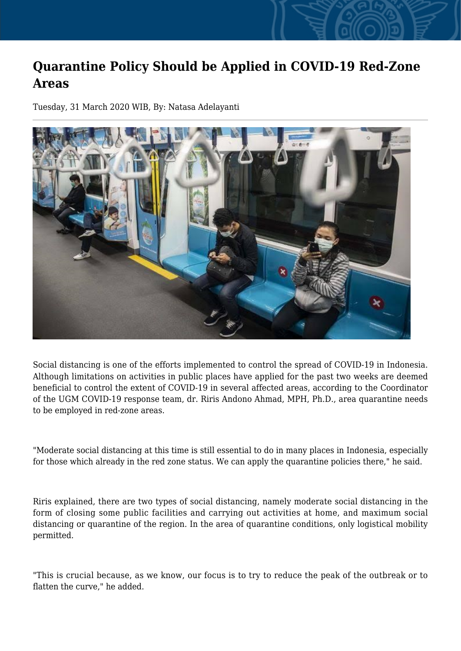## **Quarantine Policy Should be Applied in COVID-19 Red-Zone Areas**

Tuesday, 31 March 2020 WIB, By: Natasa Adelayanti



Social distancing is one of the efforts implemented to control the spread of COVID-19 in Indonesia. Although limitations on activities in public places have applied for the past two weeks are deemed beneficial to control the extent of COVID-19 in several affected areas, according to the Coordinator of the UGM COVID-19 response team, dr. Riris Andono Ahmad, MPH, Ph.D., area quarantine needs to be employed in red-zone areas.

"Moderate social distancing at this time is still essential to do in many places in Indonesia, especially for those which already in the red zone status. We can apply the quarantine policies there," he said.

Riris explained, there are two types of social distancing, namely moderate social distancing in the form of closing some public facilities and carrying out activities at home, and maximum social distancing or quarantine of the region. In the area of quarantine conditions, only logistical mobility permitted.

"This is crucial because, as we know, our focus is to try to reduce the peak of the outbreak or to flatten the curve," he added.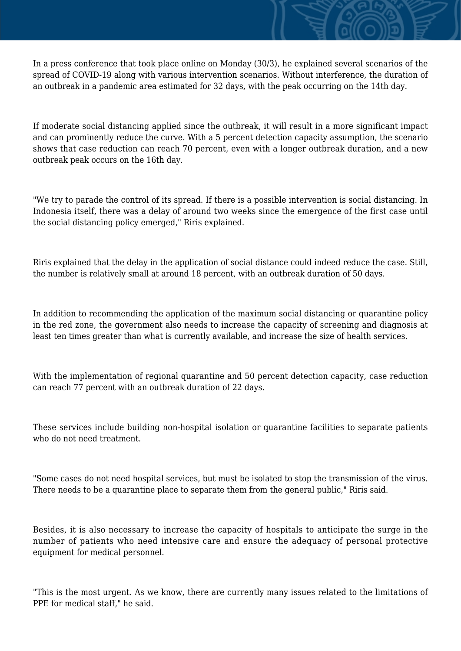In a press conference that took place online on Monday (30/3), he explained several scenarios of the spread of COVID-19 along with various intervention scenarios. Without interference, the duration of an outbreak in a pandemic area estimated for 32 days, with the peak occurring on the 14th day.

If moderate social distancing applied since the outbreak, it will result in a more significant impact and can prominently reduce the curve. With a 5 percent detection capacity assumption, the scenario shows that case reduction can reach 70 percent, even with a longer outbreak duration, and a new outbreak peak occurs on the 16th day.

"We try to parade the control of its spread. If there is a possible intervention is social distancing. In Indonesia itself, there was a delay of around two weeks since the emergence of the first case until the social distancing policy emerged," Riris explained.

Riris explained that the delay in the application of social distance could indeed reduce the case. Still, the number is relatively small at around 18 percent, with an outbreak duration of 50 days.

In addition to recommending the application of the maximum social distancing or quarantine policy in the red zone, the government also needs to increase the capacity of screening and diagnosis at least ten times greater than what is currently available, and increase the size of health services.

With the implementation of regional quarantine and 50 percent detection capacity, case reduction can reach 77 percent with an outbreak duration of 22 days.

These services include building non-hospital isolation or quarantine facilities to separate patients who do not need treatment.

"Some cases do not need hospital services, but must be isolated to stop the transmission of the virus. There needs to be a quarantine place to separate them from the general public," Riris said.

Besides, it is also necessary to increase the capacity of hospitals to anticipate the surge in the number of patients who need intensive care and ensure the adequacy of personal protective equipment for medical personnel.

"This is the most urgent. As we know, there are currently many issues related to the limitations of PPE for medical staff," he said.